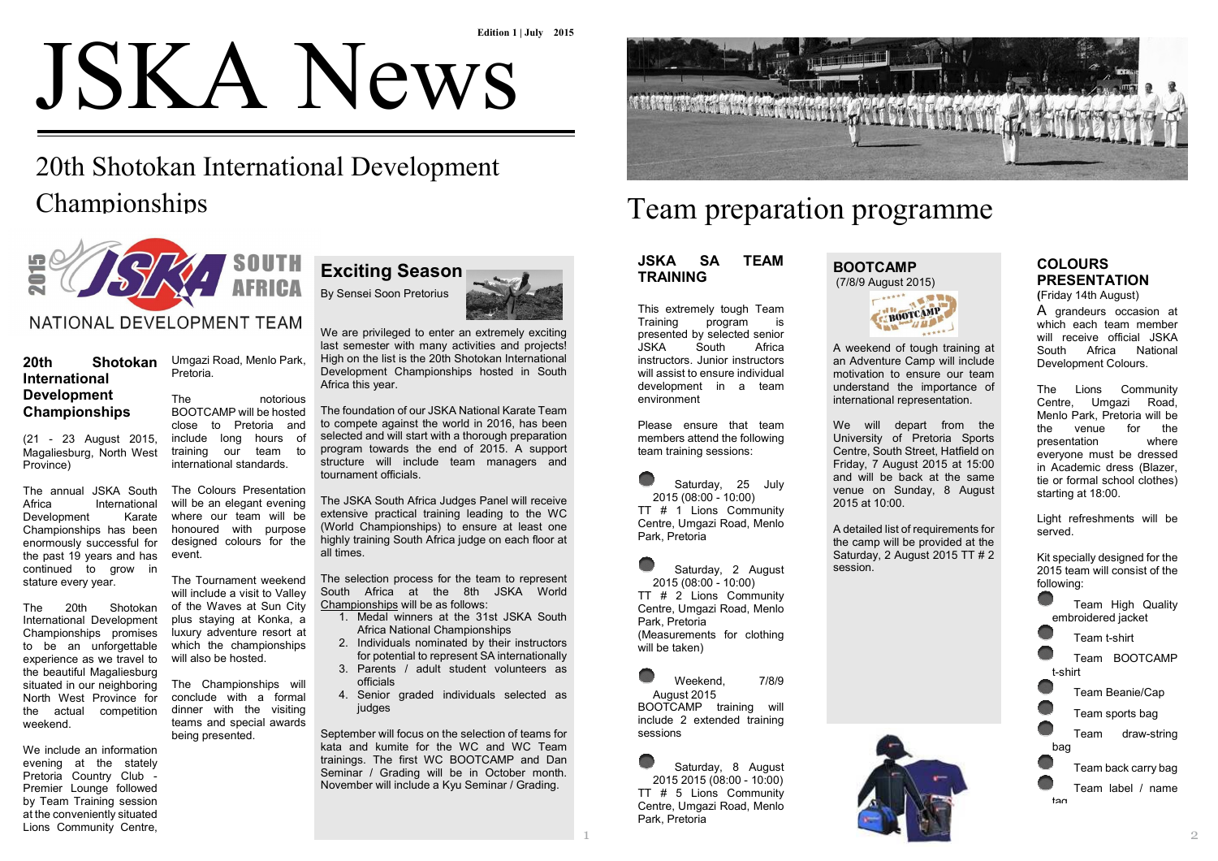# **JSKA News**<br>20th Shotokan International Development

# 20th Shotokan International Development **Championships**

Umgazi Road, Menlo Park,

The notorious BOOTCAMP will be hosted close to Pretoria and include long hours of training our team tointernational standards. The Colours Presentation will be an elegant evening where our team will be honoured with purposedesigned colours for the

The Tournament weekend will include a visit to Valley of the Waves at Sun City plus staying at Konka, a luxury adventure resort at which the championshipswill also be hosted.

The Championships will conclude with a formal dinner with the visiting teams and special awardsbeing presented.

Pretoria.

event.



#### **20th Shotokan International Development Championships**

(21 - 23 August 2015, Magaliesburg, North WestProvince)

The annual JSKA South Africa InternationalKarate Development Championships has been enormously successful for the past 19 years and has continued to grow instature every year.

The 20th Shotokan International Development Championships promises to be an unforgettable experience as we travel to the beautiful Magaliesburg situated in our neighboring North West Province for the actual competitionweekend.

We include an information evening at the stately Pretoria Country Club - Premier Lounge followed by Team Training session at the conveniently situatedLions Community Centre,

**Exciting Season** By Sensei Soon Pretorius



We are privileged to enter an extremely exciting last semester with many activities and projects! High on the list is the 20th Shotokan International Development Championships hosted in South Africa this year.

The foundation of our JSKA National Karate Team to compete against the world in 2016, has been selected and will start with a thorough preparation program towards the end of 2015. A support structure will include team managers and tournament officials.

The JSKA South Africa Judges Panel will receive extensive practical training leading to the WC (World Championships) to ensure at least one highly training South Africa judge on each floor atall times.

The selection process for the team to represent South Africa at the 8th JSKA World Championships will be as follows:

- 1. Medal winners at the 31st JSKA South Africa National Championships
- 2. Individuals nominated by their instructors for potential to represent SA internationally
- 3. Parents / adult student volunteers as officials
- 4. Senior graded individuals selected as judges

September will focus on the selection of teams for kata and kumite for the WC and WC Team trainings. The first WC BOOTCAMP and Dan Seminar / Grading will be in October month. November will include a Kyu Seminar / Grading.



# Team preparation programme

#### **JSKA SA TEAMTRAINING**

This extremely tough Team<br>Training program is is program presented by selected seniorAfrica JSKA South instructors. Junior instructors will assist to ensure individual development in a teamenvironment

Please ensure that team members attend the followingteam training sessions:

Saturday, 25 July2015 (08:00 - 10:00) TT # 1 Lions Community Centre, Umgazi Road, MenloPark, Pretoria

Saturday, 2 August2015 (08:00 - 10:00) TT # 2 Lions Community Centre, Umgazi Road, MenloPark, Pretoria (Measurements for clothingwill be taken)

Weekend, 7/8/9 August 2015 BOOTCAMP training will include 2 extended trainingsessions

Saturday, 8 August 2015 2015 (08:00 - 10:00) TT # 5 Lions Community Centre, Umgazi Road, MenloPark, Pretoria

#### **BOOTCAMP**(7/8/9 August 2015)



A weekend of tough training at an Adventure Camp will include motivation to ensure our team understand the importance of international representation.

We will depart from the University of Pretoria Sports Centre, South Street, Hatfield on Friday, 7 August 2015 at 15:00 and will be back at the same venue on Sunday, 8 August 2015 at 10:00.

A detailed list of requirements for the camp will be provided at the Saturday, 2 August 2015 TT # 2 session.

## **COLOURSPRESENTATION**

**(**Friday 14th August)

A grandeurs occasion at which each team member will receive official JSKA South Africa NationalDevelopment Colours.

The Lions Community Centre, Umgazi Road, Menlo Park, Pretoria will befor the the venue where presentation everyone must be dressed in Academic dress (Blazer, tie or formal school clothes)starting at 18:00.

Light refreshments will beserved.

Kit specially designed for the 2015 team will consist of thefollowing:



Team label / name